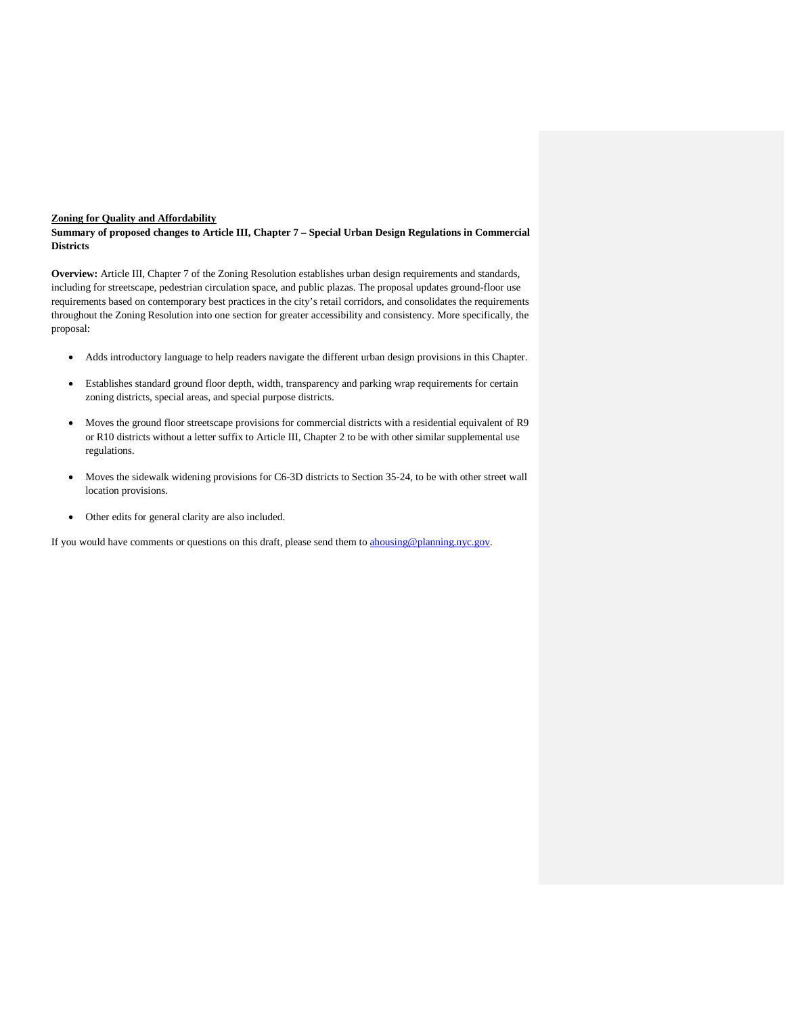### **Zoning for Quality and Affordability**

**Summary of proposed changes to Article III, Chapter 7 – Special Urban Design Regulations in Commercial Districts**

**Overview:** Article III, Chapter 7 of the Zoning Resolution establishes urban design requirements and standards, including for streetscape, pedestrian circulation space, and public plazas. The proposal updates ground-floor use requirements based on contemporary best practices in the city's retail corridors, and consolidates the requirements throughout the Zoning Resolution into one section for greater accessibility and consistency. More specifically, the proposal:

- Adds introductory language to help readers navigate the different urban design provisions in this Chapter.
- Establishes standard ground floor depth, width, transparency and parking wrap requirements for certain zoning districts, special areas, and special purpose districts.
- Moves the ground floor streetscape provisions for commercial districts with a residential equivalent of R9 or R10 districts without a letter suffix to Article III, Chapter 2 to be with other similar supplemental use regulations.
- Moves the sidewalk widening provisions for C6-3D districts to Section 35-24, to be with other street wall location provisions.
- Other edits for general clarity are also included.

If you would have comments or questions on this draft, please send them to [ahousing@planning.nyc.gov.](mailto:ahousing@planning.nyc.gov)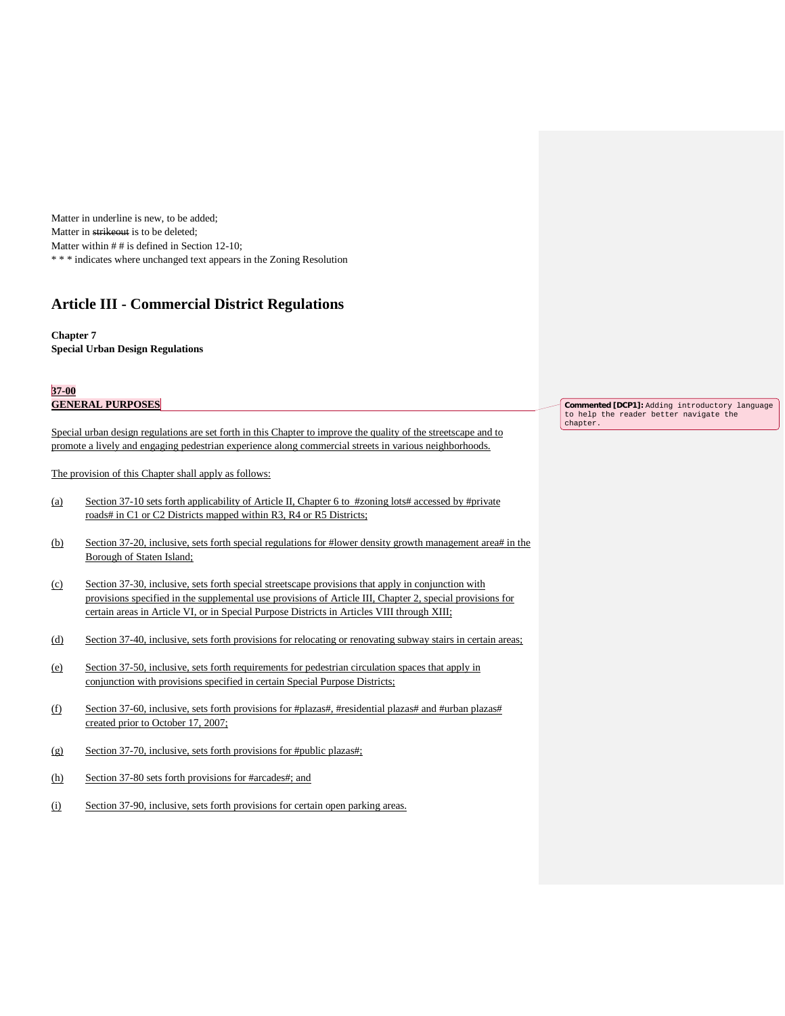Matter in underline is new, to be added; Matter in strikeout is to be deleted; Matter within # # is defined in Section 12-10; \* \* \* indicates where unchanged text appears in the Zoning Resolution

# **Article III - Commercial District Regulations**

#### **Chapter 7 Special Urban Design Regulations**

#### **37-00 GENERAL PURPOSES**

Special urban design regulations are set forth in this Chapter to improve the quality of the streetscape and to promote a lively and engaging pedestrian experience along commercial streets in various neighborhoods.

The provision of this Chapter shall apply as follows:

- (a) Section 37-10 sets forth applicability of Article II, Chapter 6 to #zoning lots# accessed by #private roads# in C1 or C2 Districts mapped within R3, R4 or R5 Districts;
- (b) Section 37-20, inclusive, sets forth special regulations for #lower density growth management area# in the Borough of Staten Island;
- (c) Section 37-30, inclusive, sets forth special streetscape provisions that apply in conjunction with provisions specified in the supplemental use provisions of Article III, Chapter 2, special provisions for certain areas in Article VI, or in Special Purpose Districts in Articles VIII through XIII;
- (d) Section 37-40, inclusive, sets forth provisions for relocating or renovating subway stairs in certain areas;
- (e) Section 37-50, inclusive, sets forth requirements for pedestrian circulation spaces that apply in conjunction with provisions specified in certain Special Purpose Districts;
- (f) Section 37-60, inclusive, sets forth provisions for #plazas#, #residential plazas# and #urban plazas# created prior to October 17, 2007;
- (g) Section 37-70, inclusive, sets forth provisions for #public plazas#;
- (h) Section 37-80 sets forth provisions for #arcades#; and
- (i) Section 37-90, inclusive, sets forth provisions for certain open parking areas.

**Commented [DCP1]:** Adding introductory language to help the reader better navigate the chapter.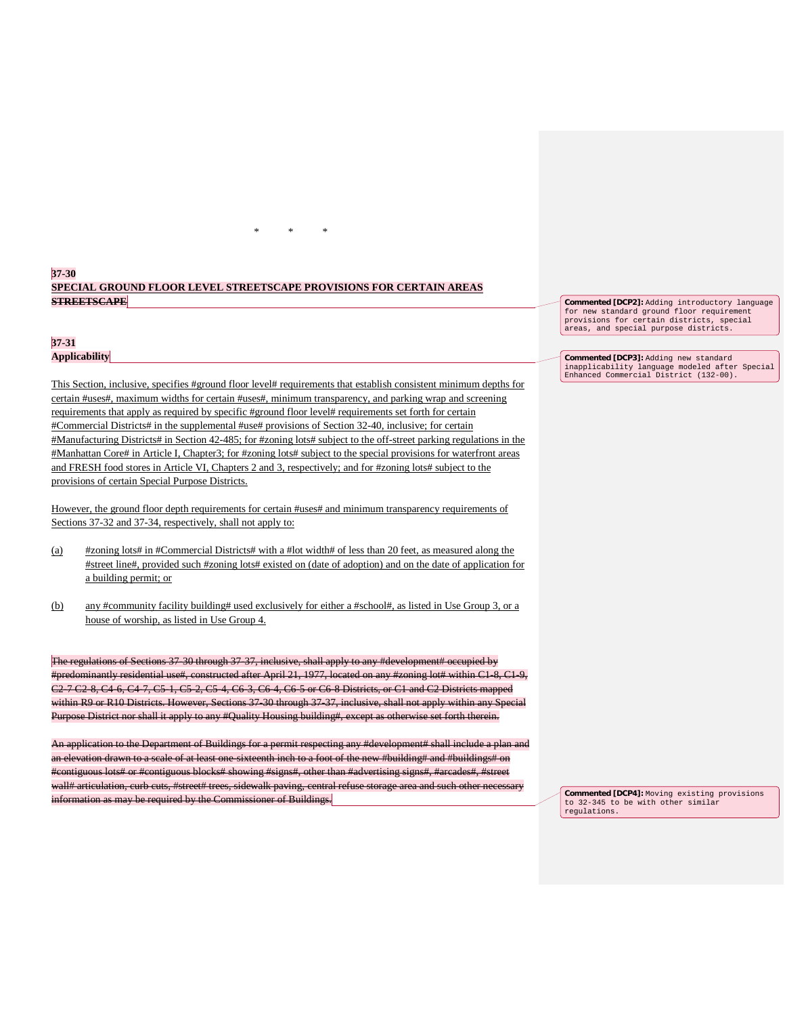# **37-30 SPECIAL GROUND FLOOR LEVEL STREETSCAPE PROVISIONS FOR CERTAIN AREAS STREETSCAPE**

\* \* \*

# **37-31 Applicability**

This Section, inclusive, specifies #ground floor level# requirements that establish consistent minimum depths for certain #uses#, maximum widths for certain #uses#, minimum transparency, and parking wrap and screening requirements that apply as required by specific #ground floor level# requirements set forth for certain #Commercial Districts# in the supplemental #use# provisions of Section 32-40, inclusive; for certain #Manufacturing Districts# in Section 42-485; for #zoning lots# subject to the off-street parking regulations in the #Manhattan Core# in Article I, Chapter3; for #zoning lots# subject to the special provisions for waterfront areas and FRESH food stores in Article VI, Chapters 2 and 3, respectively; and for #zoning lots# subject to the provisions of certain Special Purpose Districts.

However, the ground floor depth requirements for certain #uses# and minimum transparency requirements of Sections 37-32 and 37-34, respectively, shall not apply to:

- (a) #zoning lots# in #Commercial Districts# with a #lot width# of less than 20 feet, as measured along the #street line#, provided such #zoning lots# existed on (date of adoption) and on the date of application for a building permit; or
- (b) any #community facility building# used exclusively for either a #school#, as listed in Use Group 3, or a house of worship, as listed in Use Group 4.

The regulations of Sections 37-30 through 37-37, inclusive, shall apply to any #development# occupied by #predominantly residential use#, constructed after April 21, 1977, located on any #zoning lot# within C1-8, C1-9, C2-7 C2-8, C4-6, C4-7, C5-1, C5-2, C5-4, C6-3, C6-4, C6-5 or C6-8 Districts, or C1 and C2 Districts mapped within R9 or R10 Districts. However, Sections 37-30 through 37-37, inclusive, shall not apply within any Special Purpose District nor shall it apply to any #Quality Housing building#, except as otherwise set forth therein.

An application to the Department of Buildings for a permit respecting any #development# shall include a plan and an elevation drawn to a scale of at least one-sixteenth inch to a foot of the new #building# and #buildings# on #contiguous lots# or #contiguous blocks# showing #signs#, other than #advertising signs#, #arcades#, #street wall# articulation, curb cuts, #street# trees, sidewalk paving, central refuse storage area and such other necessary information as may be required by the Commissioner of Buildings.

**Commented [DCP2]:** Adding introductory language for new standard ground floor requirem provisions for certain districts, special areas, and special purpose districts.

**Commented [DCP3]:** Adding new standard inapplicability language modeled after Special Enhanced Commercial District (132-00).

**Commented [DCP4]:** Moving existing provisions to 32-345 to be with other similar regulations.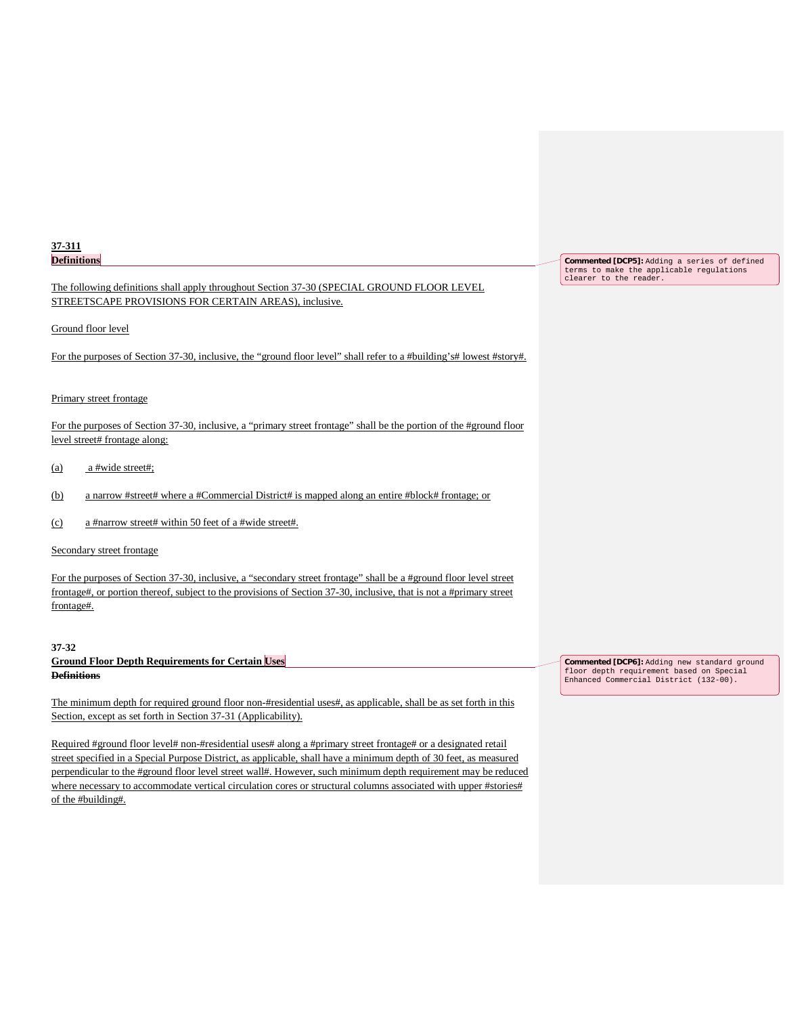| 37-311             |
|--------------------|
| <b>Definitions</b> |

# The following definitions shall apply throughout Section 37-30 (SPECIAL GROUND FLOOR LEVEL STREETSCAPE PROVISIONS FOR CERTAIN AREAS), inclusive.

### Ground floor level

For the purposes of Section 37-30, inclusive, the "ground floor level" shall refer to a #building's# lowest #story#.

### Primary street frontage

For the purposes of Section 37-30, inclusive, a "primary street frontage" shall be the portion of the #ground floor level street# frontage along:

- (a) a #wide street#;
- (b) a narrow #street# where a #Commercial District# is mapped along an entire #block# frontage; or
- (c) a #narrow street# within 50 feet of a #wide street#.

### Secondary street frontage

For the purposes of Section 37-30, inclusive, a "secondary street frontage" shall be a #ground floor level street frontage#, or portion thereof, subject to the provisions of Section 37-30, inclusive, that is not a #primary street frontage#.

#### **37-32**

# **Ground Floor Depth Requirements for Certain Uses Definitions**

The minimum depth for required ground floor non-#residential uses#, as applicable, shall be as set forth in this Section, except as set forth in Section 37-31 (Applicability).

Required #ground floor level# non-#residential uses# along a #primary street frontage# or a designated retail street specified in a Special Purpose District, as applicable, shall have a minimum depth of 30 feet, as measured perpendicular to the #ground floor level street wall#. However, such minimum depth requirement may be reduced where necessary to accommodate vertical circulation cores or structural columns associated with upper #stories# of the #building#.

**Commented [DCP5]:** Adding a series of defined terms to make the applicable regulations clearer to the reader.

**Commented [DCP6]:** Adding new standard ground floor depth requirement based on Special Enhanced Commercial District (132-00).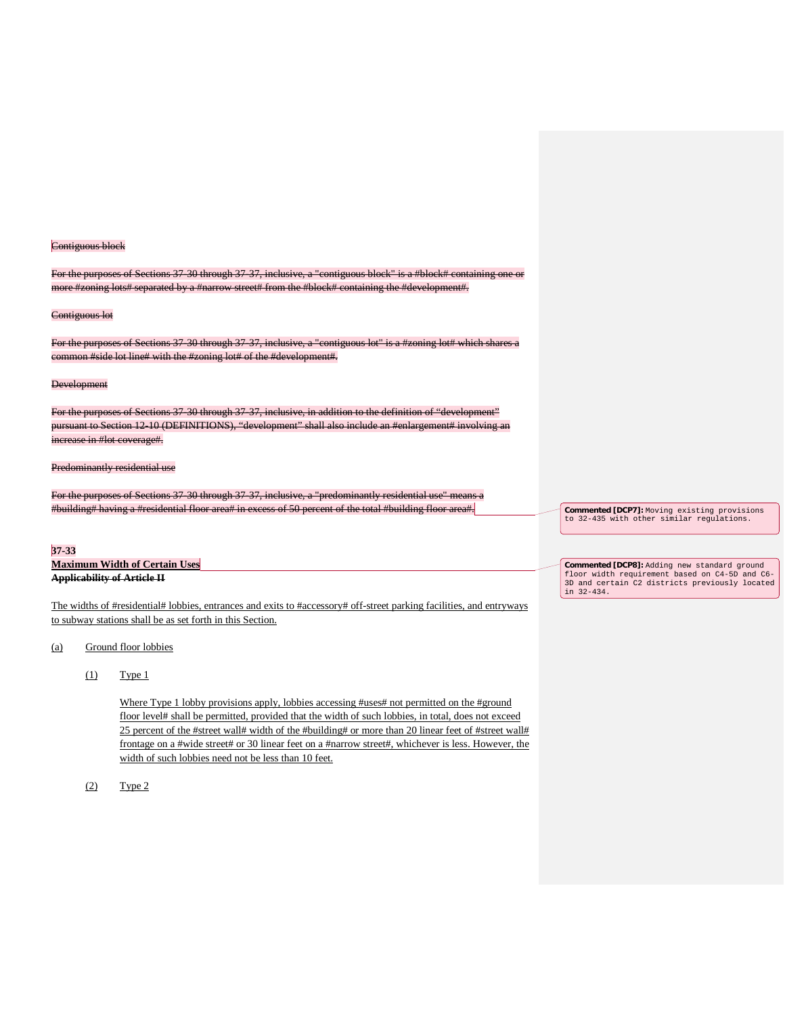#### Contiguous block

For the purposes of Sections 37-30 through 37-37, inclusive, a "contiguous block" is a #block# containing one or more #zoning lots# separated by a #narrow street# from the #block# containing the #development#.

#### Contiguous lot

For the purposes of Sections 37-30 through 37-37, inclusive, a "contiguous lot" is a #zoning lot# which shares a common #side lot line# with the #zoning lot# of the #development#.

#### **Development**

For the purposes of Sections 37-30 through 37-37, inclusive, in addition to the definition of "development" pursuant to Section 12-10 (DEFINITIONS), "development" shall also include an #enlargement# involving increase in #lot coverage#.

### Predominantly residential use

For the purposes of Sections 37-30 through 37-37, inclusive, a "predominantly residential use" means a #building# having a #residential floor area# in excess of 50 percent of the total #building floor area#.

## **37-33**

**Maximum Width of Certain Uses Applicability of Article II**

The widths of #residential# lobbies, entrances and exits to #accessory# off-street parking facilities, and entryways to subway stations shall be as set forth in this Section.

#### (a) Ground floor lobbies

 $(1)$  Type 1

Where Type 1 lobby provisions apply, lobbies accessing #uses# not permitted on the #ground floor level# shall be permitted, provided that the width of such lobbies, in total, does not exceed 25 percent of the #street wall# width of the #building# or more than 20 linear feet of #street wall# frontage on a #wide street# or 30 linear feet on a #narrow street#, whichever is less. However, the width of such lobbies need not be less than 10 feet.

(2) Type 2

**Commented [DCP7]:** Moving existing provisions to 32-435 with other similar regulations.

**Commented [DCP8]:** Adding new standard ground floor width requirement based on C4-5D and C6- 3D and certain C2 districts previously located in 32-434.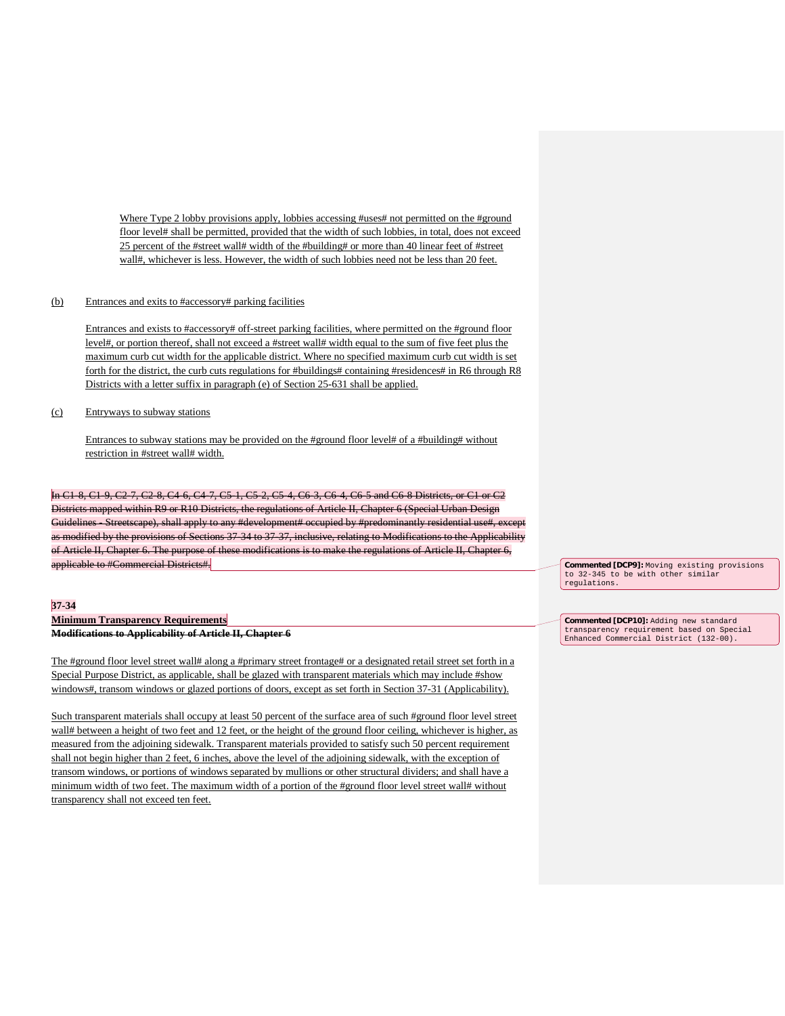Where Type 2 lobby provisions apply, lobbies accessing #uses# not permitted on the #ground floor level# shall be permitted, provided that the width of such lobbies, in total, does not exceed 25 percent of the #street wall# width of the #building# or more than 40 linear feet of #street wall#, whichever is less. However, the width of such lobbies need not be less than 20 feet.

### (b) Entrances and exits to #accessory# parking facilities

Entrances and exists to #accessory# off-street parking facilities, where permitted on the #ground floor level#, or portion thereof, shall not exceed a #street wall# width equal to the sum of five feet plus the maximum curb cut width for the applicable district. Where no specified maximum curb cut width is set forth for the district, the curb cuts regulations for #buildings# containing #residences# in R6 through R8 Districts with a letter suffix in paragraph (e) of Section 25-631 shall be applied.

(c) Entryways to subway stations

Entrances to subway stations may be provided on the #ground floor level# of a #building# without restriction in #street wall# width.

In C1-8, C1-9, C2-7, C2-8, C4-6, C4-7, C5-1, C5-2, C5-4, C6-3, C6-4, C6-5 and C6-8 Districts, or C1 or C2 Districts mapped within R9 or R10 Districts, the regulations of Article II, Chapter 6 (Special Urban Design Guidelines - Streetscape), shall apply to any #development# occupied by #predominantly residential use#, except as modified by the provisions of Sections 37-34 to 37-37, inclusive, relating to Modifications to the Applicability of Article II, Chapter 6. The purpose of these modifications is to make the regulations of Article II, Chapter 6, applicable to #Commercial Districts#.

### **37-34**

**Minimum Transparency Requirements Modifications to Applicability of Article II, Chapter 6**

The #ground floor level street wall# along a #primary street frontage# or a designated retail street set forth in a Special Purpose District, as applicable, shall be glazed with transparent materials which may include #show windows#, transom windows or glazed portions of doors, except as set forth in Section 37-31 (Applicability).

Such transparent materials shall occupy at least 50 percent of the surface area of such #ground floor level street wall# between a height of two feet and 12 feet, or the height of the ground floor ceiling, whichever is higher, as measured from the adjoining sidewalk. Transparent materials provided to satisfy such 50 percent requirement shall not begin higher than 2 feet, 6 inches, above the level of the adjoining sidewalk, with the exception of transom windows, or portions of windows separated by mullions or other structural dividers; and shall have a minimum width of two feet. The maximum width of a portion of the #ground floor level street wall# without transparency shall not exceed ten feet.

**Commented [DCP9]:** Moving existing provisions to 32-345 to be with other similar regulations.

**Commented [DCP10]:** Adding new standard transparency requirement based on Special Enhanced Commercial District (132-00).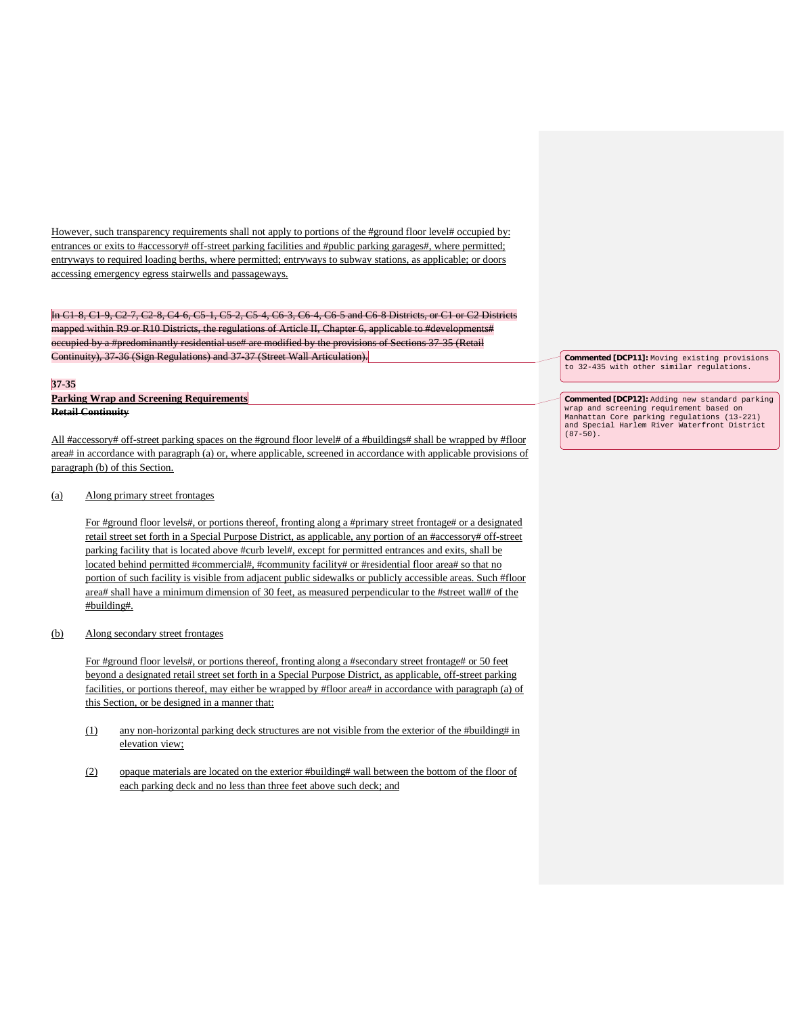However, such transparency requirements shall not apply to portions of the #ground floor level# occupied by: entrances or exits to #accessory# off-street parking facilities and #public parking garages#, where permitted; entryways to required loading berths, where permitted; entryways to subway stations, as applicable; or doors accessing emergency egress stairwells and passageways.

In C1-8, C1-9, C2-7, C2-8, C4-6, C5-1, C5-2, C5-4, C6-3, C6-4, C6-5 and C6-8 Districts, or C1 or C2 Districts mapped within R9 or R10 Districts, the regulations of Article II, Chapter 6, applicable to #developments# occupied by a #predominantly residential use# are modified by the provisions of Sections 37-35 (Retail Continuity), 37-36 (Sign Regulations) and 37-37 (Street Wall Articulation).

#### **37-35**

**Parking Wrap and Screening Requirements Retail Continuity**

All #accessory# off-street parking spaces on the #ground floor level# of a #buildings# shall be wrapped by #floor area# in accordance with paragraph (a) or, where applicable, screened in accordance with applicable provisions of paragraph (b) of this Section.

### (a) Along primary street frontages

For #ground floor levels#, or portions thereof, fronting along a #primary street frontage# or a designated retail street set forth in a Special Purpose District, as applicable, any portion of an #accessory# off-street parking facility that is located above #curb level#, except for permitted entrances and exits, shall be located behind permitted #commercial#, #community facility# or #residential floor area# so that no portion of such facility is visible from adjacent public sidewalks or publicly accessible areas. Such #floor area# shall have a minimum dimension of 30 feet, as measured perpendicular to the #street wall# of the #building#.

# (b) Along secondary street frontages

For #ground floor levels#, or portions thereof, fronting along a #secondary street frontage# or 50 feet beyond a designated retail street set forth in a Special Purpose District, as applicable, off-street parking facilities, or portions thereof, may either be wrapped by #floor area# in accordance with paragraph (a) of this Section, or be designed in a manner that:

- $(1)$  any non-horizontal parking deck structures are not visible from the exterior of the #building# in elevation view;
- (2) opaque materials are located on the exterior #building# wall between the bottom of the floor of each parking deck and no less than three feet above such deck; and

**Commented [DCP11]:** Moving existing provisions to 32-435 with other similar regulations.

**Commented [DCP12]:** Adding new standard parking wrap and screening requirement based on Manhattan Core parking regulations (13-221) and Special Harlem River Waterfront District  $(87-50)$ .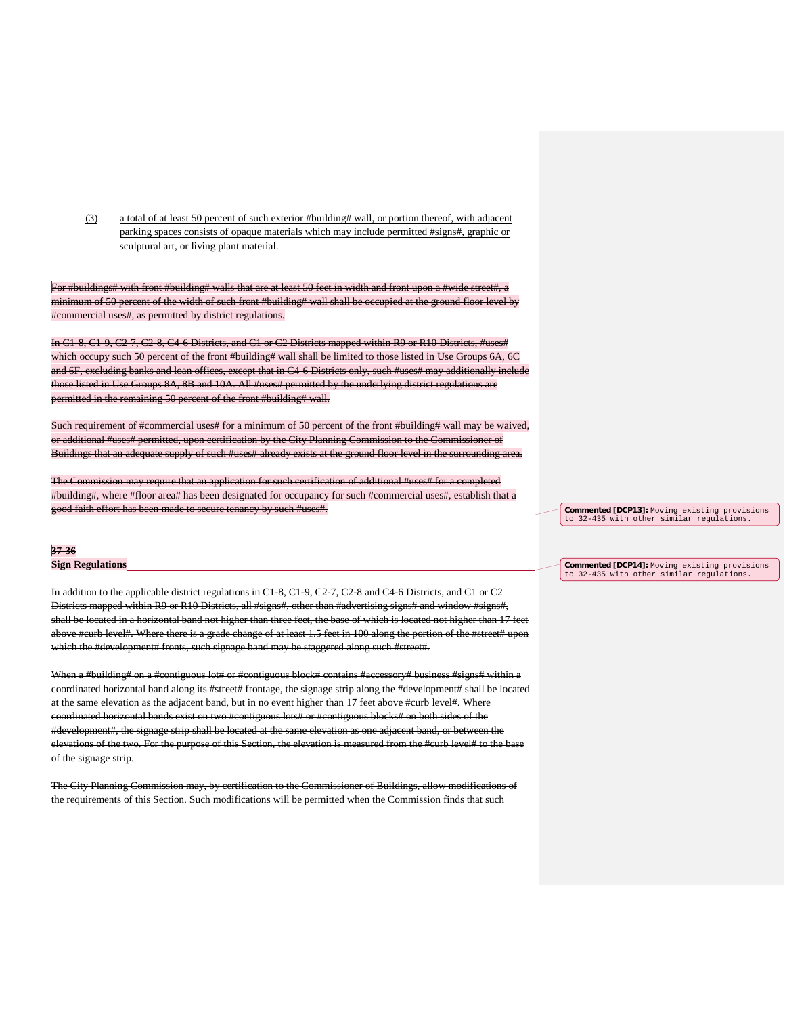(3) a total of at least 50 percent of such exterior #building# wall, or portion thereof, with adjacent parking spaces consists of opaque materials which may include permitted #signs#, graphic or sculptural art, or living plant material.

For #buildings# with front #building# walls that are at least 50 feet in width and front upon a #wide street#, a minimum of 50 percent of the width of such front #building# wall shall be occupied at the ground floor level by #commercial uses#, as permitted by district regulations.

In C1-8, C1-9, C2-7, C2-8, C4-6 Districts, and C1 or C2 Districts mapped within R9 or R10 Districts, #uses# which occupy such 50 percent of the front #building# wall shall be limited to those listed in Use Groups 6A, 6C and 6F, excluding banks and loan offices, except that in C4-6 Districts only, such #uses# may additionally include those listed in Use Groups 8A, 8B and 10A. All #uses# permitted by the underlying district regulations are permitted in the remaining 50 percent of the front #building# wall.

Such requirement of #commercial uses# for a minimum of 50 percent of the front #building# wall may be waived, or additional #uses# permitted, upon certification by the City Planning Commission to the Commissioner of Buildings that an adequate supply of such #uses# already exists at the ground floor level in the surrounding area.

The Commission may require that an application for such certification of additional #uses# for a completed #building#, where #floor area# has been designated for occupancy for such #commercial uses#, establish that a good faith effort has been made to secure tenancy by such #uses#.

#### **37-36**

**Sign Regulations**

In addition to the applicable district regulations in C1-8, C1-9, C2-7, C2-8 and C4-6 Districts, and C1 or C2 Districts mapped within R9 or R10 Districts, all #signs#, other than #advertising signs# and window #signs#, shall be located in a horizontal band not higher than three feet, the base of which is located not higher than 17 feet above #curb level#. Where there is a grade change of at least 1.5 feet in 100 along the portion of the #street# upon which the #development# fronts, such signage band may be staggered along such #street#.

When a #building# on a #contiguous lot# or #contiguous block# contains #accessory# business #signs# within a coordinated horizontal band along its #street# frontage, the signage strip along the #development# shall be located at the same elevation as the adjacent band, but in no event higher than 17 feet above #curb level#. Where coordinated horizontal bands exist on two #contiguous lots# or #contiguous blocks# on both sides of the #development#, the signage strip shall be located at the same elevation as one adjacent band, or between the elevations of the two. For the purpose of this Section, the elevation is measured from the #curb level# to the base of the signage strip.

The City Planning Commission may, by certification to the Commissioner of Buildings, allow modifications of the requirements of this Section. Such modifications will be permitted when the Commission finds that such

**Commented [DCP13]:** Moving existing provisions to 32-435 with other similar regulations.

**Commented [DCP14]:** Moving existing provisions to 32-435 with other similar regulations.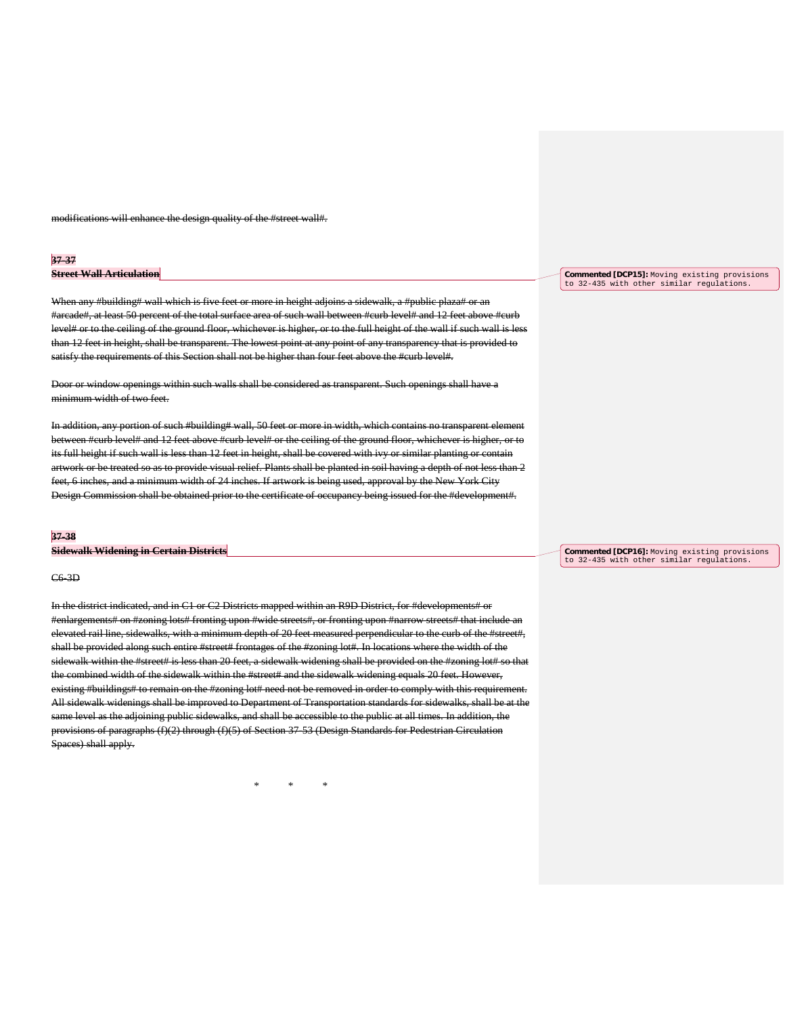modifications will enhance the design quality of the #street wall#.

#### **37-37**

### **Street Wall Articulation**

When any #building# wall which is five feet or more in height adjoins a sidewalk, a #public plaza# or an #arcade#, at least 50 percent of the total surface area of such wall between #curb level# and 12 feet above #curb level# or to the ceiling of the ground floor, whichever is higher, or to the full height of the wall if such wall is less than 12 feet in height, shall be transparent. The lowest point at any point of any transparency that is provided to satisfy the requirements of this Section shall not be higher than four feet above the #curb level#.

Door or window openings within such walls shall be considered as transparent. Such openings shall have a minimum width of two feet.

In addition, any portion of such #building# wall, 50 feet or more in width, which contains no transparent elem between #curb level# and 12 feet above #curb level# or the ceiling of the ground floor, whichever is higher, or to its full height if such wall is less than 12 feet in height, shall be covered with ivy or similar planting or contain artwork or be treated so as to provide visual relief. Plants shall be planted in soil having a depth of not less than 2 feet, 6 inches, and a minimum width of 24 inches. If artwork is being used, approval by the New York City Design Commission shall be obtained prior to the certificate of occupancy being issued for the #development#.

#### **37-38**

#### **Sidewalk Widening in Certain Districts**

#### C6-3D

In the district indicated, and in C1 or C2 Districts mapped within an R9D District, for #developments# or #enlargements# on #zoning lots# fronting upon #wide streets#, or fronting upon #narrow streets# that include an elevated rail line, sidewalks, with a minimum depth of 20 feet measured perpendicular to the curb of the #street#, shall be provided along such entire #street# frontages of the #zoning lot#. In locations where the width of the sidewalk within the #street# is less than 20 feet, a sidewalk widening shall be provided on the #zoning lot# so that the combined width of the sidewalk within the #street# and the sidewalk widening equals 20 feet. However, existing #buildings# to remain on the #zoning lot# need not be removed in order to comply with this requirement. All sidewalk widenings shall be improved to Department of Transportation standards for sidewalks, shall be at the same level as the adjoining public sidewalks, and shall be accessible to the public at all times. In addition, the provisions of paragraphs (f)(2) through (f)(5) of Section 37-53 (Design Standards for Pedestrian Circulation Spaces) shall apply.

\* \* \*

**Commented [DCP15]:** Moving existing provisions to 32-435 with other similar regulations.

**Commented [DCP16]:** Moving existing provisions to 32-435 with other similar regulations.